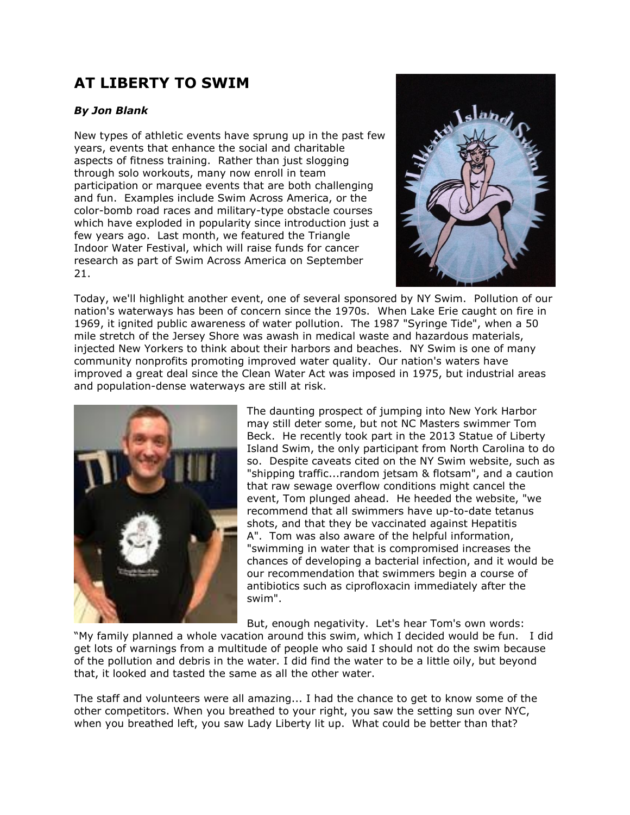## **AT LIBERTY TO SWIM**

## *By Jon Blank*

New types of athletic events have sprung up in the past few years, events that enhance the social and charitable aspects of fitness training. Rather than just slogging through solo workouts, many now enroll in team participation or marquee events that are both challenging and fun. Examples include Swim Across America, or the color-bomb road races and military-type obstacle courses which have exploded in popularity since introduction just a few years ago. Last month, we featured the Triangle Indoor Water Festival, which will raise funds for cancer research as part of Swim Across America on September 21.



Today, we'll highlight another event, one of several sponsored by NY Swim. Pollution of our nation's waterways has been of concern since the 1970s. When Lake Erie caught on fire in 1969, it ignited public awareness of water pollution. The 1987 "Syringe Tide", when a 50 mile stretch of the Jersey Shore was awash in medical waste and hazardous materials, injected New Yorkers to think about their harbors and beaches. NY Swim is one of many community nonprofits promoting improved water quality. Our nation's waters have improved a great deal since the Clean Water Act was imposed in 1975, but industrial areas and population-dense waterways are still at risk.



The daunting prospect of jumping into New York Harbor may still deter some, but not NC Masters swimmer Tom Beck. He recently took part in the 2013 Statue of Liberty Island Swim, the only participant from North Carolina to do so. Despite caveats cited on the NY Swim website, such as "shipping traffic...random jetsam & flotsam", and a caution that raw sewage overflow conditions might cancel the event, Tom plunged ahead. He heeded the website, "we recommend that all swimmers have up-to-date tetanus shots, and that they be vaccinated against Hepatitis A". Tom was also aware of the helpful information, "swimming in water that is compromised increases the chances of developing a bacterial infection, and it would be our recommendation that swimmers begin a course of antibiotics such as ciprofloxacin immediately after the swim".

But, enough negativity. Let's hear Tom's own words:

"My family planned a whole vacation around this swim, which I decided would be fun. I did get lots of warnings from a multitude of people who said I should not do the swim because of the pollution and debris in the water. I did find the water to be a little oily, but beyond that, it looked and tasted the same as all the other water.

The staff and volunteers were all amazing... I had the chance to get to know some of the other competitors. When you breathed to your right, you saw the setting sun over NYC, when you breathed left, you saw Lady Liberty lit up. What could be better than that?